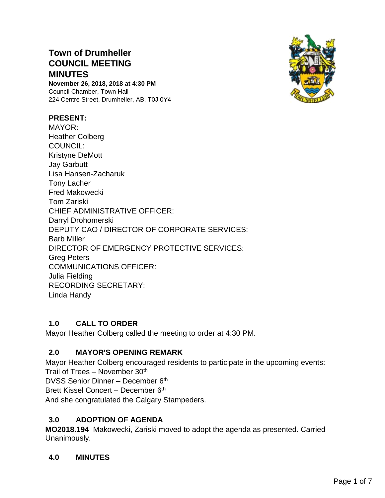# **Town of Drumheller COUNCIL MEETING MINUTES**

**November 26, 2018, 2018 at 4:30 PM** Council Chamber, Town Hall 224 Centre Street, Drumheller, AB, T0J 0Y4

### **PRESENT:**

MAYOR: Heather Colberg COUNCIL: Kristyne DeMott Jay Garbutt Lisa Hansen-Zacharuk Tony Lacher Fred Makowecki Tom Zariski CHIEF ADMINISTRATIVE OFFICER: Darryl Drohomerski DEPUTY CAO / DIRECTOR OF CORPORATE SERVICES: Barb Miller DIRECTOR OF EMERGENCY PROTECTIVE SERVICES: Greg Peters COMMUNICATIONS OFFICER: Julia Fielding RECORDING SECRETARY: Linda Handy

### **1.0 CALL TO ORDER**

Mayor Heather Colberg called the meeting to order at 4:30 PM.

### **2.0 MAYOR'S OPENING REMARK**

Mayor Heather Colberg encouraged residents to participate in the upcoming events: Trail of Trees – November 30th

DVSS Senior Dinner - December 6th

Brett Kissel Concert – December 6th

And she congratulated the Calgary Stampeders.

## **3.0 ADOPTION OF AGENDA**

**MO2018.194** Makowecki, Zariski moved to adopt the agenda as presented. Carried Unanimously.

### **4.0 MINUTES**

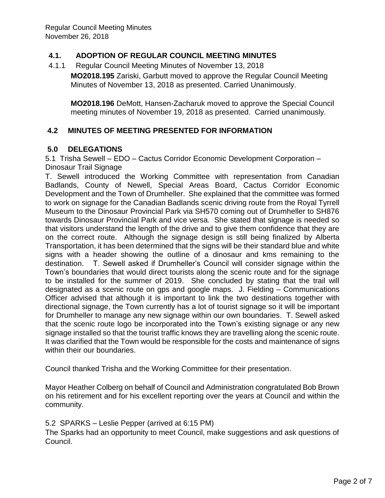### **4.1. ADOPTION OF REGULAR COUNCIL MEETING MINUTES**

- 4.1.1 Regular Council Meeting Minutes of November 13, 2018
	- **MO2018.195** Zariski, Garbutt moved to approve the Regular Council Meeting Minutes of November 13, 2018 as presented. Carried Unanimously.

**MO2018.196** DeMott, Hansen-Zacharuk moved to approve the Special Council meeting minutes of November 19, 2018 as presented. Carried unanimously.

### **4.2 MINUTES OF MEETING PRESENTED FOR INFORMATION**

### **5.0 DELEGATIONS**

5.1 Trisha Sewell – EDO – Cactus Corridor Economic Development Corporation – Dinosaur Trail Signage

T. Sewell introduced the Working Committee with representation from Canadian Badlands, County of Newell, Special Areas Board, Cactus Corridor Economic Development and the Town of Drumheller. She explained that the committee was formed to work on signage for the Canadian Badlands scenic driving route from the Royal Tyrrell Museum to the Dinosaur Provincial Park via SH570 coming out of Drumheller to SH876 towards Dinosaur Provincial Park and vice versa. She stated that signage is needed so that visitors understand the length of the drive and to give them confidence that they are on the correct route. Although the signage design is still being finalized by Alberta Transportation, it has been determined that the signs will be their standard blue and white signs with a header showing the outline of a dinosaur and kms remaining to the destination. T. Sewell asked if Drumheller's Council will consider signage within the Town's boundaries that would direct tourists along the scenic route and for the signage to be installed for the summer of 2019. She concluded by stating that the trail will designated as a scenic route on gps and google maps. J. Fielding – Communications Officer advised that although it is important to link the two destinations together with directional signage, the Town currently has a lot of tourist signage so it will be important for Drumheller to manage any new signage within our own boundaries. T. Sewell asked that the scenic route logo be incorporated into the Town's existing signage or any new signage installed so that the tourist traffic knows they are travelling along the scenic route. It was clarified that the Town would be responsible for the costs and maintenance of signs within their our boundaries.

Council thanked Trisha and the Working Committee for their presentation.

Mayor Heather Colberg on behalf of Council and Administration congratulated Bob Brown on his retirement and for his excellent reporting over the years at Council and within the community.

#### 5.2 SPARKS – Leslie Pepper (arrived at 6:15 PM)

The Sparks had an opportunity to meet Council, make suggestions and ask questions of Council.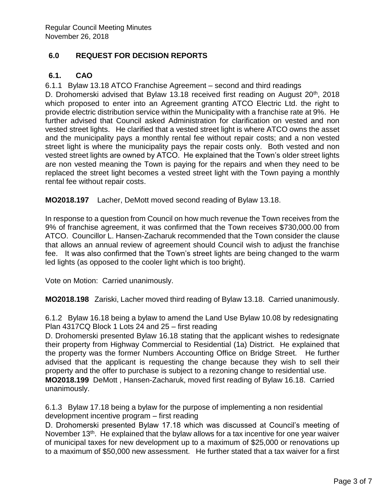# **6.0 REQUEST FOR DECISION REPORTS**

### **6.1. CAO**

6.1.1 Bylaw 13.18 ATCO Franchise Agreement – second and third readings

D. Drohomerski advised that Bylaw 13.18 received first reading on August 20<sup>th</sup>, 2018 which proposed to enter into an Agreement granting ATCO Electric Ltd. the right to provide electric distribution service within the Municipality with a franchise rate at 9%. He further advised that Council asked Administration for clarification on vested and non vested street lights. He clarified that a vested street light is where ATCO owns the asset and the municipality pays a monthly rental fee without repair costs; and a non vested street light is where the municipality pays the repair costs only. Both vested and non vested street lights are owned by ATCO. He explained that the Town's older street lights are non vested meaning the Town is paying for the repairs and when they need to be replaced the street light becomes a vested street light with the Town paying a monthly rental fee without repair costs.

**MO2018.197** Lacher, DeMott moved second reading of Bylaw 13.18.

In response to a question from Council on how much revenue the Town receives from the 9% of franchise agreement, it was confirmed that the Town receives \$730,000.00 from ATCO. Councillor L. Hansen-Zacharuk recommended that the Town consider the clause that allows an annual review of agreement should Council wish to adjust the franchise fee. It was also confirmed that the Town's street lights are being changed to the warm led lights (as opposed to the cooler light which is too bright).

Vote on Motion: Carried unanimously.

**MO2018.198** Zariski, Lacher moved third reading of Bylaw 13.18. Carried unanimously.

6.1.2 Bylaw 16.18 being a bylaw to amend the Land Use Bylaw 10.08 by redesignating Plan 4317CQ Block 1 Lots 24 and 25 – first reading

D. Drohomerski presented Bylaw 16.18 stating that the applicant wishes to redesignate their property from Highway Commercial to Residential (1a) District. He explained that the property was the former Numbers Accounting Office on Bridge Street. He further advised that the applicant is requesting the change because they wish to sell their property and the offer to purchase is subject to a rezoning change to residential use. **MO2018.199** DeMott , Hansen-Zacharuk, moved first reading of Bylaw 16.18. Carried unanimously.

6.1.3 Bylaw 17.18 being a bylaw for the purpose of implementing a non residential development incentive program – first reading

D. Drohomerski presented Bylaw 17.18 which was discussed at Council's meeting of November 13<sup>th</sup>. He explained that the bylaw allows for a tax incentive for one year waiver of municipal taxes for new development up to a maximum of \$25,000 or renovations up to a maximum of \$50,000 new assessment. He further stated that a tax waiver for a first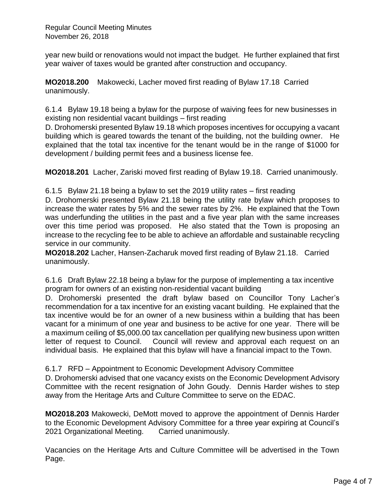Regular Council Meeting Minutes November 26, 2018

year new build or renovations would not impact the budget. He further explained that first year waiver of taxes would be granted after construction and occupancy.

**MO2018.200** Makowecki, Lacher moved first reading of Bylaw 17.18 Carried unanimously.

6.1.4 Bylaw 19.18 being a bylaw for the purpose of waiving fees for new businesses in existing non residential vacant buildings – first reading

D. Drohomerski presented Bylaw 19.18 which proposes incentives for occupying a vacant building which is geared towards the tenant of the building, not the building owner. He explained that the total tax incentive for the tenant would be in the range of \$1000 for development / building permit fees and a business license fee.

**MO2018.201** Lacher, Zariski moved first reading of Bylaw 19.18. Carried unanimously.

6.1.5 Bylaw 21.18 being a bylaw to set the 2019 utility rates – first reading

D. Drohomerski presented Bylaw 21.18 being the utility rate bylaw which proposes to increase the water rates by 5% and the sewer rates by 2%. He explained that the Town was underfunding the utilities in the past and a five year plan with the same increases over this time period was proposed. He also stated that the Town is proposing an increase to the recycling fee to be able to achieve an affordable and sustainable recycling service in our community.

**MO2018.202** Lacher, Hansen-Zacharuk moved first reading of Bylaw 21.18. Carried unanimously.

6.1.6 Draft Bylaw 22.18 being a bylaw for the purpose of implementing a tax incentive program for owners of an existing non-residential vacant building

D. Drohomerski presented the draft bylaw based on Councillor Tony Lacher's recommendation for a tax incentive for an existing vacant building. He explained that the tax incentive would be for an owner of a new business within a building that has been vacant for a minimum of one year and business to be active for one year. There will be a maximum ceiling of \$5,000.00 tax cancellation per qualifying new business upon written letter of request to Council. Council will review and approval each request on an individual basis. He explained that this bylaw will have a financial impact to the Town.

### 6.1.7 RFD – Appointment to Economic Development Advisory Committee

D. Drohomerski advised that one vacancy exists on the Economic Development Advisory Committee with the recent resignation of John Goudy. Dennis Harder wishes to step away from the Heritage Arts and Culture Committee to serve on the EDAC.

**MO2018.203** Makowecki, DeMott moved to approve the appointment of Dennis Harder to the Economic Development Advisory Committee for a three year expiring at Council's 2021 Organizational Meeting. Carried unanimously.

Vacancies on the Heritage Arts and Culture Committee will be advertised in the Town Page.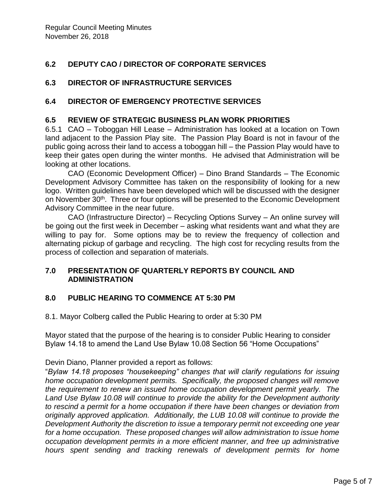# **6.2 DEPUTY CAO / DIRECTOR OF CORPORATE SERVICES**

## **6.3 DIRECTOR OF INFRASTRUCTURE SERVICES**

### **6.4 DIRECTOR OF EMERGENCY PROTECTIVE SERVICES**

#### **6.5 REVIEW OF STRATEGIC BUSINESS PLAN WORK PRIORITIES**

6.5.1 CAO – Toboggan Hill Lease – Administration has looked at a location on Town land adjacent to the Passion Play site. The Passion Play Board is not in favour of the public going across their land to access a toboggan hill – the Passion Play would have to keep their gates open during the winter months. He advised that Administration will be looking at other locations.

CAO (Economic Development Officer) – Dino Brand Standards – The Economic Development Advisory Committee has taken on the responsibility of looking for a new logo. Written guidelines have been developed which will be discussed with the designer on November 30<sup>th</sup>. Three or four options will be presented to the Economic Development Advisory Committee in the near future.

CAO (Infrastructure Director) – Recycling Options Survey – An online survey will be going out the first week in December – asking what residents want and what they are willing to pay for. Some options may be to review the frequency of collection and alternating pickup of garbage and recycling. The high cost for recycling results from the process of collection and separation of materials.

### **7.0 PRESENTATION OF QUARTERLY REPORTS BY COUNCIL AND ADMINISTRATION**

### **8.0 PUBLIC HEARING TO COMMENCE AT 5:30 PM**

8.1. Mayor Colberg called the Public Hearing to order at 5:30 PM

Mayor stated that the purpose of the hearing is to consider Public Hearing to consider Bylaw 14.18 to amend the Land Use Bylaw 10.08 Section 56 "Home Occupations"

Devin Diano, Planner provided a report as follows:

"*Bylaw 14.18 proposes "housekeeping" changes that will clarify regulations for issuing home occupation development permits. Specifically, the proposed changes will remove the requirement to renew an issued home occupation development permit yearly. The Land Use Bylaw 10.08 will continue to provide the ability for the Development authority to rescind a permit for a home occupation if there have been changes or deviation from originally approved application. Additionally, the LUB 10.08 will continue to provide the Development Authority the discretion to issue a temporary permit not exceeding one year for a home occupation. These proposed changes will allow administration to issue home occupation development permits in a more efficient manner, and free up administrative hours spent sending and tracking renewals of development permits for home*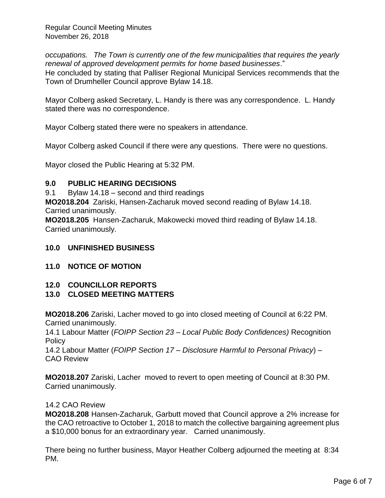Regular Council Meeting Minutes November 26, 2018

*occupations. The Town is currently one of the few municipalities that requires the yearly renewal of approved development permits for home based businesses*." He concluded by stating that Palliser Regional Municipal Services recommends that the Town of Drumheller Council approve Bylaw 14.18.

Mayor Colberg asked Secretary, L. Handy is there was any correspondence. L. Handy stated there was no correspondence.

Mayor Colberg stated there were no speakers in attendance.

Mayor Colberg asked Council if there were any questions. There were no questions.

Mayor closed the Public Hearing at 5:32 PM.

#### **9.0 PUBLIC HEARING DECISIONS**

9.1 Bylaw 14.18 – second and third readings

**MO2018.204** Zariski, Hansen-Zacharuk moved second reading of Bylaw 14.18. Carried unanimously.

**MO2018.205** Hansen-Zacharuk, Makowecki moved third reading of Bylaw 14.18. Carried unanimously.

#### **10.0 UNFINISHED BUSINESS**

### **11.0 NOTICE OF MOTION**

### **12.0 COUNCILLOR REPORTS**

### **13.0 CLOSED MEETING MATTERS**

**MO2018.206** Zariski, Lacher moved to go into closed meeting of Council at 6:22 PM. Carried unanimously.

14.1 Labour Matter (*FOIPP Section 23 – Local Public Body Confidences)* Recognition **Policy** 

14.2 Labour Matter (*FOIPP Section 17 – Disclosure Harmful to Personal Privacy*) – CAO Review

**MO2018.207** Zariski, Lacher moved to revert to open meeting of Council at 8:30 PM. Carried unanimously.

#### 14.2 CAO Review

**MO2018.208** Hansen-Zacharuk, Garbutt moved that Council approve a 2% increase for the CAO retroactive to October 1, 2018 to match the collective bargaining agreement plus a \$10,000 bonus for an extraordinary year. Carried unanimously.

There being no further business, Mayor Heather Colberg adjourned the meeting at 8:34 PM.